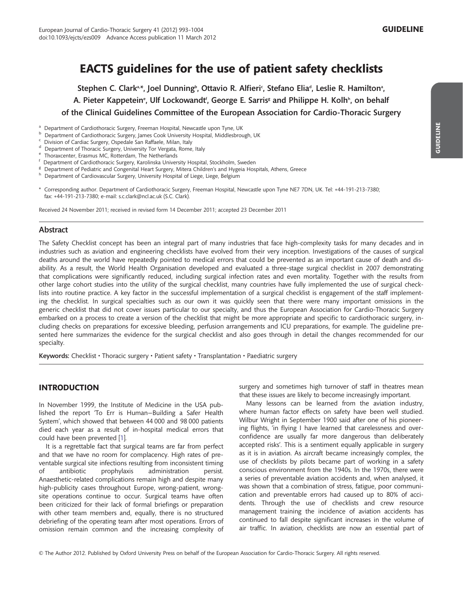# EACTS guidelines for the use of patient safety checklists

Stephen C. Clark<sup>a,\*</sup>, Joel Dunning<sup>b</sup>, Ottavio R. Alfieri<sup>c</sup>, Stefano Elia<sup>d</sup>, Leslie R. Hamilton<sup>a</sup>, A. Pieter Kappetein<sup>e</sup>, Ulf Lockowandt', George E. Sarris<sup>g</sup> and Philippe H. Kolhʰ, on behalf of the Clinical Guidelines Committee of the European Association for Cardio-Thoracic Surgery

- 
- 
- 
- 
- 
- 
- $^{\rm a}$  Department of Cardiothoracic Surgery, Freeman Hospital, Newcastle upon Tyne, UK<br>  $^{\rm b}$  Department of Cardiothoracic Surgery, James Cook University Hospital, Middlesbrough, UK<br>  $^{\rm c}$  Division of Cardiac Surgery
- 
- \* Corresponding author. Department of Cardiothoracic Surgery, Freeman Hospital, Newcastle upon Tyne NE7 7DN, UK. Tel: +44-191-213-7380; fax: +44-191-213-7380; e-mail: s.c.clark@ncl.ac.uk (S.C. Clark).

Received 24 November 2011; received in revised form 14 December 2011; accepted 23 December 2011

#### Abstract

The Safety Checklist concept has been an integral part of many industries that face high-complexity tasks for many decades and in industries such as aviation and engineering checklists have evolved from their very inception. Investigations of the causes of surgical deaths around the world have repeatedly pointed to medical errors that could be prevented as an important cause of death and disability. As a result, the World Health Organisation developed and evaluated a three-stage surgical checklist in 2007 demonstrating that complications were significantly reduced, including surgical infection rates and even mortality. Together with the results from other large cohort studies into the utility of the surgical checklist, many countries have fully implemented the use of surgical checklists into routine practice. A key factor in the successful implementation of a surgical checklist is engagement of the staff implementing the checklist. In surgical specialties such as our own it was quickly seen that there were many important omissions in the generic checklist that did not cover issues particular to our specialty, and thus the European Association for Cardio-Thoracic Surgery embarked on a process to create a version of the checklist that might be more appropriate and specific to cardiothoracic surgery, including checks on preparations for excessive bleeding, perfusion arrangements and ICU preparations, for example. The guideline presented here summarizes the evidence for the surgical checklist and also goes through in detail the changes recommended for our specialty.

Keywords: Checklist • Thoracic surgery • Patient safety • Transplantation • Paediatric surgery

## INTRODUCTION

In November 1999, the Institute of Medicine in the USA published the report 'To Err is Human—Building a Safer Health System', which showed that between 44 000 and 98 000 patients died each year as a result of in-hospital medical errors that could have been prevented [\[1\]](#page-5-0).

It is a regrettable fact that surgical teams are far from perfect and that we have no room for complacency. High rates of preventable surgical site infections resulting from inconsistent timing of antibiotic prophylaxis administration persist. Anaesthetic-related complications remain high and despite many high-publicity cases throughout Europe, wrong-patient, wrongsite operations continue to occur. Surgical teams have often been criticized for their lack of formal briefings or preparation with other team members and, equally, there is no structured debriefing of the operating team after most operations. Errors of omission remain common and the increasing complexity of surgery and sometimes high turnover of staff in theatres mean that these issues are likely to become increasingly important.

Many lessons can be learned from the aviation industry, where human factor effects on safety have been well studied. Wilbur Wright in September 1900 said after one of his pioneering flights, 'in flying I have learned that carelessness and overconfidence are usually far more dangerous than deliberately accepted risks'. This is a sentiment equally applicable in surgery as it is in aviation. As aircraft became increasingly complex, the use of checklists by pilots became part of working in a safety conscious environment from the 1940s. In the 1970s, there were a series of preventable aviation accidents and, when analysed, it was shown that a combination of stress, fatigue, poor communication and preventable errors had caused up to 80% of accidents. Through the use of checklists and crew resource management training the incidence of aviation accidents has continued to fall despite significant increases in the volume of air traffic. In aviation, checklists are now an essential part of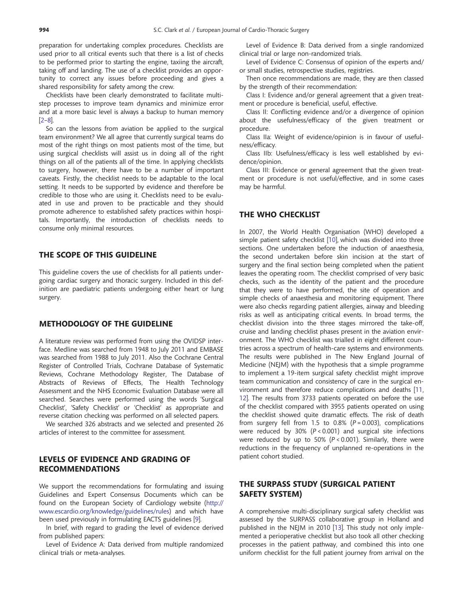preparation for undertaking complex procedures. Checklists are used prior to all critical events such that there is a list of checks to be performed prior to starting the engine, taxiing the aircraft, taking off and landing. The use of a checklist provides an opportunity to correct any issues before proceeding and gives a shared responsibility for safety among the crew.

Checklists have been clearly demonstrated to facilitate multistep processes to improve team dynamics and minimize error and at a more basic level is always a backup to human memory  $[2 - 8]$  $[2 - 8]$  $[2 - 8]$  $[2 - 8]$  $[2 - 8]$ 

So can the lessons from aviation be applied to the surgical team environment? We all agree that currently surgical teams do most of the right things on most patients most of the time, but using surgical checklists will assist us in doing all of the right things on all of the patients all of the time. In applying checklists to surgery, however, there have to be a number of important caveats. Firstly, the checklist needs to be adaptable to the local setting. It needs to be supported by evidence and therefore be credible to those who are using it. Checklists need to be evaluated in use and proven to be practicable and they should promote adherence to established safety practices within hospitals. Importantly, the introduction of checklists needs to consume only minimal resources.

## THE SCOPE OF THIS GUIDELINE

This guideline covers the use of checklists for all patients undergoing cardiac surgery and thoracic surgery. Included in this definition are paediatric patients undergoing either heart or lung surgery.

#### METHODOLOGY OF THE GUIDELINE

A literature review was performed from using the OVIDSP interface. Medline was searched from 1948 to July 2011 and EMBASE was searched from 1988 to July 2011. Also the Cochrane Central Register of Controlled Trials, Cochrane Database of Systematic Reviews, Cochrane Methodology Register, The Database of Abstracts of Reviews of Effects, The Health Technology Assessment and the NHS Economic Evaluation Database were all searched. Searches were performed using the words 'Surgical Checklist', 'Safety Checklist' or 'Checklist' as appropriate and reverse citation checking was performed on all selected papers.

We searched 326 abstracts and we selected and presented 26 articles of interest to the committee for assessment.

# LEVELS OF EVIDENCE AND GRADING OF RECOMMENDATIONS

We support the recommendations for formulating and issuing Guidelines and Expert Consensus Documents which can be found on the European Society of Cardiology website ([http://](http://www.escardio.org/knowledge/guidelines/rules) [www.escardio.org/knowledge/guidelines/rules\)](http://www.escardio.org/knowledge/guidelines/rules) and which have been used previously in formulating EACTS guidelines [\[9\]](#page-5-0).

In brief, with regard to grading the level of evidence derived from published papers:

Level of Evidence A: Data derived from multiple randomized clinical trials or meta-analyses.

Level of Evidence B: Data derived from a single randomized clinical trial or large non-randomized trials.

Level of Evidence C: Consensus of opinion of the experts and/ or small studies, retrospective studies, registries.

Then once recommendations are made, they are then classed by the strength of their recommendation:

Class I: Evidence and/or general agreement that a given treatment or procedure is beneficial, useful, effective.

Class II: Conflicting evidence and/or a divergence of opinion about the usefulness/efficacy of the given treatment or procedure.

Class IIa: Weight of evidence/opinion is in favour of usefulness/efficacy.

Class IIb: Usefulness/efficacy is less well established by evidence/opinion.

Class III: Evidence or general agreement that the given treatment or procedure is not useful/effective, and in some cases may be harmful.

## THE WHO CHECKLIST

In 2007, the World Health Organisation (WHO) developed a simple patient safety checklist [[10](#page-5-0)], which was divided into three sections. One undertaken before the induction of anaesthesia, the second undertaken before skin incision at the start of surgery and the final section being completed when the patient leaves the operating room. The checklist comprised of very basic checks, such as the identity of the patient and the procedure that they were to have performed, the site of operation and simple checks of anaesthesia and monitoring equipment. There were also checks regarding patient allergies, airway and bleeding risks as well as anticipating critical events. In broad terms, the checklist division into the three stages mirrored the take-off, cruise and landing checklist phases present in the aviation environment. The WHO checklist was trialled in eight different countries across a spectrum of health-care systems and environments. The results were published in The New England Journal of Medicine (NEJM) with the hypothesis that a simple programme to implement a 19-item surgical safety checklist might improve team communication and consistency of care in the surgical environment and therefore reduce complications and deaths [[11,](#page-5-0) [12\]](#page-5-0). The results from 3733 patients operated on before the use of the checklist compared with 3955 patients operated on using the checklist showed quite dramatic effects. The risk of death from surgery fell from 1.5 to 0.8% ( $P = 0.003$ ), complications were reduced by 30% ( $P < 0.001$ ) and surgical site infections were reduced by up to 50% ( $P < 0.001$ ). Similarly, there were reductions in the frequency of unplanned re-operations in the patient cohort studied.

# THE SURPASS STUDY (SURGICAL PATIENT SAFETY SYSTEM)

A comprehensive multi-disciplinary surgical safety checklist was assessed by the SURPASS collaborative group in Holland and published in the NEJM in 2010 [[13\]](#page-5-0). This study not only implemented a perioperative checklist but also took all other checking processes in the patient pathway, and combined this into one uniform checklist for the full patient journey from arrival on the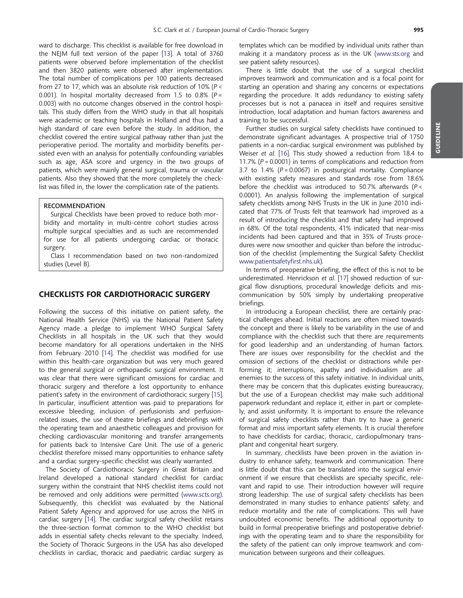ward to discharge. This checklist is available for free download in the NEJM full text version of the paper [\[13\]](#page-5-0). A total of 3760 patients were observed before implementation of the checklist and then 3820 patients were observed after implementation. The total number of complications per 100 patients decreased from 27 to 17, which was an absolute risk reduction of 10% (P < 0.001). In hospital mortality decreased from 1.5 to 0.8% ( $P =$ 0.003) with no outcome changes observed in the control hospitals. This study differs from the WHO study in that all hospitals were academic or teaching hospitals in Holland and thus had a high standard of care even before the study. In addition, the checklist covered the entire surgical pathway rather than just the perioperative period. The mortality and morbidity benefits persisted even with an analysis for potentially confounding variables such as age, ASA score and urgency in the two groups of patients, which were mainly general surgical, trauma or vascular patients. Also they showed that the more completely the checklist was filled in, the lower the complication rate of the patients.

#### RECOMMENDATION

Surgical Checklists have been proved to reduce both morbidity and mortality in multi-centre cohort studies across multiple surgical specialties and as such are recommended for use for all patients undergoing cardiac or thoracic surgery.

Class I recommendation based on two non-randomized studies (Level B).

## CHECKLISTS FOR CARDIOTHORACIC SURGERY

Following the success of this initiative on patient safety, the National Health Service (NHS) via the National Patient Safety Agency made a pledge to implement WHO Surgical Safety Checklists in all hospitals in the UK such that they would become mandatory for all operations undertaken in the NHS from February 2010 [\[14\]](#page-5-0). The checklist was modified for use within this health-care organization but was very much geared to the general surgical or orthopaedic surgical environment. It was clear that there were significant omissions for cardiac and thoracic surgery and therefore a lost opportunity to enhance patient's safety in the environment of cardiothoracic surgery [\[15\]](#page-5-0). In particular, insufficient attention was paid to preparations for excessive bleeding, inclusion of perfusionists and perfusionrelated issues, the use of theatre briefings and debriefings with the operating team and anaesthetic colleagues and provision for checking cardiovascular monitoring and transfer arrangements for patients back to Intensive Care Unit. The use of a generic checklist therefore missed many opportunities to enhance safety and a cardiac surgery-specific checklist was clearly warranted.

The Society of Cardiothoracic Surgery in Great Britain and Ireland developed a national standard checklist for cardiac surgery within the constraint that NHS checklist items could not be removed and only additions were permitted (<www.scts.org>). Subsequently, this checklist was evaluated by the National Patient Safety Agency and approved for use across the NHS in cardiac surgery [[14\]](#page-5-0). The cardiac surgical safety checklist retains the three-section format common to the WHO checklist but adds in essential safety checks relevant to the specialty. Indeed, the Society of Thoracic Surgeons in the USA has also developed checklists in cardiac, thoracic and paediatric cardiac surgery as templates which can be modified by individual units rather than making it a mandatory process as in the UK [\(www.sts.org](www.sts.org) and see patient safety resources).

There is little doubt that the use of a surgical checklist improves teamwork and communication and is a focal point for starting an operation and sharing any concerns or expectations regarding the procedure. It adds redundancy to existing safety processes but is not a panacea in itself and requires sensitive introduction, local adaptation and human factors awareness and training to be successful.

Further studies on surgical safety checklists have continued to demonstrate significant advantages. A prospective trial of 1750 patients in a non-cardiac surgical environment was published by Weiser et al. [[16](#page-5-0)]. This study showed a reduction from 18.4 to 11.7% ( $P = 0.0001$ ) in terms of complications and reduction from 3.7 to 1.4% ( $P = 0.0067$ ) in postsurgical mortality. Compliance with existing safety measures and standards rose from 18.6% before the checklist was introduced to 50.7% afterwards ( $P \leq$ 0.0001). An analysis following the implementation of surgical safety checklists among NHS Trusts in the UK in June 2010 indicated that 77% of Trusts felt that teamwork had improved as a result of introducing the checklist and that safety had improved in 68%. Of the total respondents, 41% indicated that near-miss incidents had been captured and that in 35% of Trusts procedures were now smoother and quicker than before the introduction of the checklist (implementing the Surgical Safety Checklist [www.patientsafety](www.patientsafetyfirst.nhs.uk)first.nhs.uk).

In terms of preoperative briefing, the effect of this is not to be underestimated. Henrickson et al. [\[17\]](#page-5-0) showed reduction of surgical flow disruptions, procedural knowledge deficits and miscommunication by 50% simply by undertaking preoperative briefings.

In introducing a European checklist, there are certainly practical challenges ahead. Initial reactions are often mixed towards the concept and there is likely to be variability in the use of and compliance with the checklist such that there are requirements for good leadership and an understanding of human factors. There are issues over responsibility for the checklist and the omission of sections of the checklist or distractions while performing it; interruptions, apathy and individualism are all enemies to the success of this safety initiative. In individual units, there may be concern that this duplicates existing bureaucracy, but the use of a European checklist may make such additional paperwork redundant and replace it, either in part or completely, and assist uniformity. It is important to ensure the relevance of surgical safety checklists rather than try to have a generic format and miss important safety elements. It is crucial therefore to have checklists for cardiac, thoracic, cardiopulmonary transplant and congenital heart surgery.

In summary, checklists have been proven in the aviation industry to enhance safety, teamwork and communication. There is little doubt that this can be translated into the surgical environment if we ensure that checklists are specialty specific, relevant and rapid to use. Their introduction however will require strong leadership. The use of surgical safety checklists has been demonstrated in many studies to enhance patients' safety, and reduce mortality and the rate of complications. This will have undoubted economic benefits. The additional opportunity to build in formal preoperative briefings and postoperative debriefings with the operating team and to share the responsibility for the safety of the patient can only improve teamwork and communication between surgeons and their colleagues.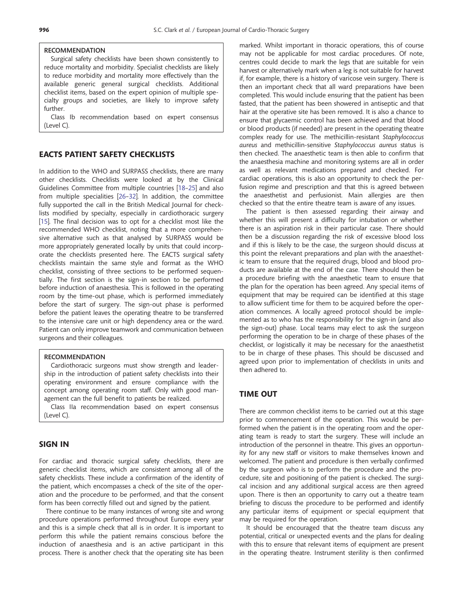#### RECOMMENDATION

Surgical safety checklists have been shown consistently to reduce mortality and morbidity. Specialist checklists are likely to reduce morbidity and mortality more effectively than the available generic general surgical checklists. Additional checklist items, based on the expert opinion of multiple specialty groups and societies, are likely to improve safety further.

Class Ib recommendation based on expert consensus (Level C).

# EACTS PATIENT SAFETY CHECKLISTS

In addition to the WHO and SURPASS checklists, there are many other checklists. Checklists were looked at by the Clinical Guidelines Committee from multiple countries [[18](#page-5-0)–[25](#page-5-0)] and also from multiple specialities [\[26](#page-6-0)–[32\]](#page-6-0). In addition, the committee fully supported the call in the British Medical Journal for checklists modified by specialty, especially in cardiothoracic surgery [[15](#page-5-0)]. The final decision was to opt for a checklist most like the recommended WHO checklist, noting that a more comprehensive alternative such as that analysed by SURPASS would be more appropriately generated locally by units that could incorporate the checklists presented here. The EACTS surgical safety checklists maintain the same style and format as the WHO checklist, consisting of three sections to be performed sequentially. The first section is the sign-in section to be performed before induction of anaesthesia. This is followed in the operating room by the time-out phase, which is performed immediately before the start of surgery. The sign-out phase is performed before the patient leaves the operating theatre to be transferred to the intensive care unit or high dependency area or the ward. Patient can only improve teamwork and communication between surgeons and their colleagues.

#### RECOMMENDATION

Cardiothoracic surgeons must show strength and leadership in the introduction of patient safety checklists into their operating environment and ensure compliance with the concept among operating room staff. Only with good management can the full benefit to patients be realized.

Class IIa recommendation based on expert consensus (Level C).

#### SIGN IN

For cardiac and thoracic surgical safety checklists, there are generic checklist items, which are consistent among all of the safety checklists. These include a confirmation of the identity of the patient, which encompasses a check of the site of the operation and the procedure to be performed, and that the consent form has been correctly filled out and signed by the patient.

There continue to be many instances of wrong site and wrong procedure operations performed throughout Europe every year and this is a simple check that all is in order. It is important to perform this while the patient remains conscious before the induction of anaesthesia and is an active participant in this process. There is another check that the operating site has been marked. Whilst important in thoracic operations, this of course may not be applicable for most cardiac procedures. Of note, centres could decide to mark the legs that are suitable for vein harvest or alternatively mark when a leg is not suitable for harvest if, for example, there is a history of varicose vein surgery. There is then an important check that all ward preparations have been completed. This would include ensuring that the patient has been fasted, that the patient has been showered in antiseptic and that hair at the operative site has been removed. It is also a chance to ensure that glycaemic control has been achieved and that blood or blood products (if needed) are present in the operating theatre complex ready for use. The methicillin-resistant Staphylococcus aureus and methicillin-sensitive Staphylococcus aureus status is then checked. The anaesthetic team is then able to confirm that the anaesthesia machine and monitoring systems are all in order as well as relevant medications prepared and checked. For cardiac operations, this is also an opportunity to check the perfusion regime and prescription and that this is agreed between the anaesthetist and perfusionist. Main allergies are then checked so that the entire theatre team is aware of any issues.

The patient is then assessed regarding their airway and whether this will present a difficulty for intubation or whether there is an aspiration risk in their particular case. There should then be a discussion regarding the risk of excessive blood loss and if this is likely to be the case, the surgeon should discuss at this point the relevant preparations and plan with the anaesthetic team to ensure that the required drugs, blood and blood products are available at the end of the case. There should then be a procedure briefing with the anaesthetic team to ensure that the plan for the operation has been agreed. Any special items of equipment that may be required can be identified at this stage to allow sufficient time for them to be acquired before the operation commences. A locally agreed protocol should be implemented as to who has the responsibility for the sign-in (and also the sign-out) phase. Local teams may elect to ask the surgeon performing the operation to be in charge of these phases of the checklist, or logistically it may be necessary for the anaesthetist to be in charge of these phases. This should be discussed and agreed upon prior to implementation of checklists in units and then adhered to.

### TIME OUT

There are common checklist items to be carried out at this stage prior to commencement of the operation. This would be performed when the patient is in the operating room and the operating team is ready to start the surgery. These will include an introduction of the personnel in theatre. This gives an opportunity for any new staff or visitors to make themselves known and welcomed. The patient and procedure is then verbally confirmed by the surgeon who is to perform the procedure and the procedure, site and positioning of the patient is checked. The surgical incision and any additional surgical access are then agreed upon. There is then an opportunity to carry out a theatre team briefing to discuss the procedure to be performed and identify any particular items of equipment or special equipment that may be required for the operation.

It should be encouraged that the theatre team discuss any potential, critical or unexpected events and the plans for dealing with this to ensure that relevant items of equipment are present in the operating theatre. Instrument sterility is then confirmed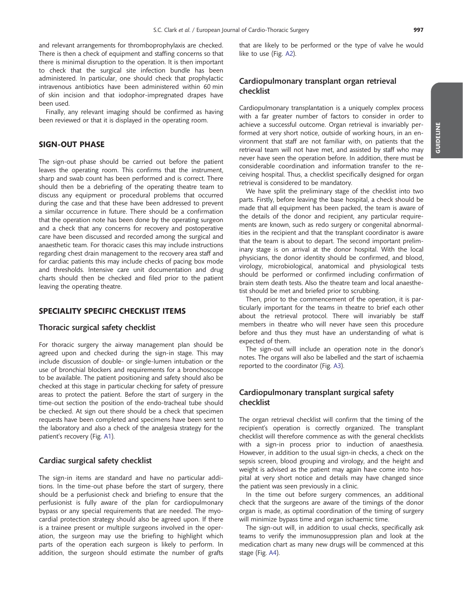and relevant arrangements for thromboprophylaxis are checked. There is then a check of equipment and staffing concerns so that there is minimal disruption to the operation. It is then important to check that the surgical site infection bundle has been administered. In particular, one should check that prophylactic intravenous antibiotics have been administered within 60 min of skin incision and that iodophor-impregnated drapes have been used.

Finally, any relevant imaging should be confirmed as having been reviewed or that it is displayed in the operating room.

# SIGN-OUT PHASE

The sign-out phase should be carried out before the patient leaves the operating room. This confirms that the instrument, sharp and swab count has been performed and is correct. There should then be a debriefing of the operating theatre team to discuss any equipment or procedural problems that occurred during the case and that these have been addressed to prevent a similar occurrence in future. There should be a confirmation that the operation note has been done by the operating surgeon and a check that any concerns for recovery and postoperative care have been discussed and recorded among the surgical and anaesthetic team. For thoracic cases this may include instructions regarding chest drain management to the recovery area staff and for cardiac patients this may include checks of pacing box mode and thresholds. Intensive care unit documentation and drug charts should then be checked and filed prior to the patient leaving the operating theatre.

## SPECIALITY SPECIFIC CHECKLIST ITEMS

#### Thoracic surgical safety checklist

For thoracic surgery the airway management plan should be agreed upon and checked during the sign-in stage. This may include discussion of double- or single-lumen intubation or the use of bronchial blockers and requirements for a bronchoscope to be available. The patient positioning and safety should also be checked at this stage in particular checking for safety of pressure areas to protect the patient. Before the start of surgery in the time-out section the position of the endo-tracheal tube should be checked. At sign out there should be a check that specimen requests have been completed and specimens have been sent to the laboratory and also a check of the analgesia strategy for the patient's recovery (Fig. [A1\)](#page-7-0).

### Cardiac surgical safety checklist

The sign-in items are standard and have no particular additions. In the time-out phase before the start of surgery, there should be a perfusionist check and briefing to ensure that the perfusionist is fully aware of the plan for cardiopulmonary bypass or any special requirements that are needed. The myocardial protection strategy should also be agreed upon. If there is a trainee present or multiple surgeons involved in the operation, the surgeon may use the briefing to highlight which parts of the operation each surgeon is likely to perform. In addition, the surgeon should estimate the number of grafts that are likely to be performed or the type of valve he would like to use (Fig. [A2\)](#page-8-0).

#### Cardiopulmonary transplant organ retrieval checklist

Cardiopulmonary transplantation is a uniquely complex process with a far greater number of factors to consider in order to achieve a successful outcome. Organ retrieval is invariably performed at very short notice, outside of working hours, in an environment that staff are not familiar with, on patients that the retrieval team will not have met, and assisted by staff who may never have seen the operation before. In addition, there must be considerable coordination and information transfer to the receiving hospital. Thus, a checklist specifically designed for organ retrieval is considered to be mandatory.

We have split the preliminary stage of the checklist into two parts. Firstly, before leaving the base hospital, a check should be made that all equipment has been packed, the team is aware of the details of the donor and recipient, any particular requirements are known, such as redo surgery or congenital abnormalities in the recipient and that the transplant coordinator is aware that the team is about to depart. The second important preliminary stage is on arrival at the donor hospital. With the local physicians, the donor identity should be confirmed, and blood, virology, microbiological, anatomical and physiological tests should be performed or confirmed including confirmation of brain stem death tests. Also the theatre team and local anaesthetist should be met and briefed prior to scrubbing.

Then, prior to the commencement of the operation, it is particularly important for the teams in theatre to brief each other about the retrieval protocol. There will invariably be staff members in theatre who will never have seen this procedure before and thus they must have an understanding of what is expected of them.

The sign-out will include an operation note in the donor's notes. The organs will also be labelled and the start of ischaemia reported to the coordinator (Fig. [A3](#page-9-0)).

## Cardiopulmonary transplant surgical safety checklist

The organ retrieval checklist will confirm that the timing of the recipient's operation is correctly organized. The transplant checklist will therefore commence as with the general checklists with a sign-in process prior to induction of anaesthesia. However, in addition to the usual sign-in checks, a check on the sepsis screen, blood grouping and virology, and the height and weight is advised as the patient may again have come into hospital at very short notice and details may have changed since the patient was seen previously in a clinic.

In the time out before surgery commences, an additional check that the surgeons are aware of the timings of the donor organ is made, as optimal coordination of the timing of surgery will minimize bypass time and organ ischaemic time.

The sign-out will, in addition to usual checks, specifically ask teams to verify the immunosuppression plan and look at the medication chart as many new drugs will be commenced at this stage (Fig. [A4](#page-10-0)).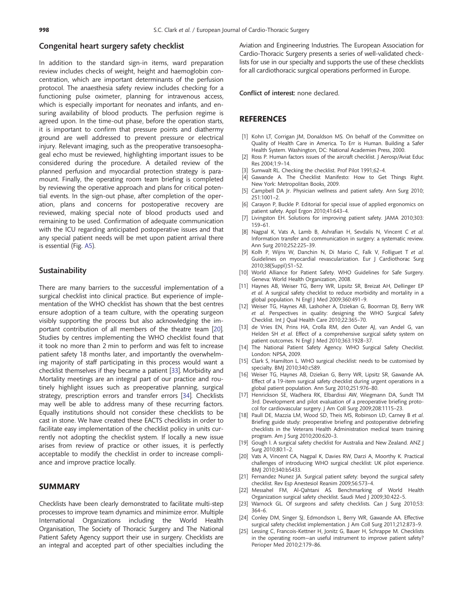## <span id="page-5-0"></span>Congenital heart surgery safety checklist

In addition to the standard sign-in items, ward preparation review includes checks of weight, height and haemoglobin concentration, which are important determinants of the perfusion protocol. The anaesthesia safety review includes checking for a functioning pulse oximeter, planning for intravenous access, which is especially important for neonates and infants, and ensuring availability of blood products. The perfusion regime is agreed upon. In the time-out phase, before the operation starts, it is important to confirm that pressure points and diathermy ground are well addressed to prevent pressure or electrical injury. Relevant imaging, such as the preoperative transoesophageal echo must be reviewed, highlighting important issues to be considered during the procedure. A detailed review of the planned perfusion and myocardial protection strategy is paramount. Finally, the operating room team briefing is completed by reviewing the operative approach and plans for critical potential events. In the sign-out phase, after completion of the operation, plans and concerns for postoperative recovery are reviewed, making special note of blood products used and remaining to be used. Confirmation of adequate communication with the ICU regarding anticipated postoperative issues and that any special patient needs will be met upon patient arrival there is essential (Fig. [A5](#page-11-0)).

#### Sustainability

There are many barriers to the successful implementation of a surgical checklist into clinical practice. But experience of implementation of the WHO checklist has shown that the best centres ensure adoption of a team culture, with the operating surgeon visibly supporting the process but also acknowledging the important contribution of all members of the theatre team [20]. Studies by centres implementing the WHO checklist found that it took no more than 2 min to perform and was felt to increase patient safety 18 months later, and importantly the overwhelming majority of staff participating in this process would want a checklist themselves if they became a patient [[33\]](#page-6-0). Morbidity and Mortality meetings are an integral part of our practice and routinely highlight issues such as preoperative planning, surgical strategy, prescription errors and transfer errors [[34\]](#page-6-0). Checklists may well be able to address many of these recurring factors. Equally institutions should not consider these checklists to be cast in stone. We have created these EACTS checklists in order to facilitate easy implementation of the checklist policy in units currently not adopting the checklist system. If locally a new issue arises from review of practice or other issues, it is perfectly acceptable to modify the checklist in order to increase compliance and improve practice locally.

#### SUMMARY

Checklists have been clearly demonstrated to facilitate multi-step processes to improve team dynamics and minimize error. Multiple International Organizations including the World Health Organisation, The Society of Thoracic Surgery and The National Patient Safety Agency support their use in surgery. Checklists are an integral and accepted part of other specialties including the Aviation and Engineering Industries. The European Association for Cardio-Thoracic Surgery presents a series of well-validated checklists for use in our specialty and supports the use of these checklists for all cardiothoracic surgical operations performed in Europe.

Conflict of interest: none declared.

## **REFERENCES**

- [1] Kohn LT, Corrigan JM, Donaldson MS. On behalf of the Committee on Quality of Health Care in America. To Err is Human. Building a Safer Health System. Washington, DC: National Academies Press, 2000.
- [2] Ross P. Human factors issues of the aircraft checklist. J Aerosp/Aviat Educ Res 2004;1:9–14.
- [3] Sumwalt RL. Checking the checklist. Prof Pilot 1991;62–4.
- [4] Gawande A. The Checklist Manifesto: How to Get Things Right. New York: Metropolitan Books, 2009.
- [5] Campbell DA Jr. Physician wellness and patient safety. Ann Surg 2010; 251:1001–2.
- [6] Carayon P, Buckle P. Editorial for special issue of applied ergonomics on patient safety. Appl Ergon 2010;41:643–4.
- [7] Livingston EH. Solutions for improving patient safety. JAMA 2010;303: 159–61.
- [8] Nagpal K, Vats A, Lamb B, Ashrafian H, Sevdalis N, Vincent C et al. Information transfer and communication in surgery: a systematic review. Ann Surg 2010;252:225–39.
- [9] Kolh P, Wijns W, Danchin N, Di Mario C, Falk V, Folliguet T et al. Guidelines on myocardial revascularization. Eur J Cardiothorac Surg 2010;38(Suppl):S1–52.
- [10] World Alliance for Patient Safety. WHO Guidelines for Safe Surgery. Geneva: World Health Organization, 2008.
- [11] Haynes AB, Weiser TG, Berry WR, Lipsitz SR, Breizat AH, Dellinger EP et al. A surgical safety checklist to reduce morbidity and mortality in a global population. N Engl J Med 2009;360:491–9.
- [12] Weiser TG, Haynes AB, Lashoher A, Dziekan G, Boorman DJ, Berry WR et al. Perspectives in quality: designing the WHO Surgical Safety Checklist. Int J Qual Health Care 2010;22:365–70.
- [13] de Vries EN, Prins HA, Crolla RM, den Outer AJ, van Andel G, van Helden SH et al. Effect of a comprehensive surgical safety system on patient outcomes. N Engl J Med 2010;363:1928–37.
- [14] The National Patient Safety Agency. WHO Surgical Safety Checklist. London: NPSA, 2009.
- [15] Clark S, Hamilton L. WHO surgical checklist: needs to be customised by specialty. BMJ 2010;340:c589.
- [16] Weiser TG, Haynes AB, Dziekan G, Berry WR, Lipsitz SR, Gawande AA. Effect of a 19-item surgical safety checklist during urgent operations in a global patient population. Ann Surg 2010;251:976–80.
- [17] Henrickson SE, Wadhera RK, Elbardissi AW, Wiegmann DA, Sundt TM 3rd. Development and pilot evaluation of a preoperative briefing protocol for cardiovascular surgery. J Am Coll Surg 2009;208:1115–23.
- [18] Paull DE, Mazzia LM, Wood SD, Theis MS, Robinson LD, Carney B et al. Briefing guide study: preoperative briefing and postoperative debriefing checklists in the Veterans Health Administration medical team training program. Am J Surg 2010;200:620–3.
- [19] Gough I. A surgical safety checklist for Australia and New Zealand. ANZ J Surg 2010;80:1–2.
- [20] Vats A, Vincent CA, Nagpal K, Davies RW, Darzi A, Moorthy K. Practical challenges of introducing WHO surgical checklist: UK pilot experience. BMJ 2010;340:b5433.
- [21] Fernandez Nunez JA. Surgical patient safety: beyond the surgical safety checklist. Rev Esp Anestesiol Reanim 2009;56:573–4.
- [22] Messahel FM, Al-Qahtani AS. Benchmarking of World Health Organization surgical safety checklist. Saudi Med J 2009;30:422–5.
- [23] Warnock GL. Of surgeons and safety checklists. Can J Surg 2010;53: 364–6.
- [24] Conley DM, Singer SJ, Edmondson L, Berry WR, Gawande AA. Effective surgical safety checklist implementation. J Am Coll Surg 2011;212:873–9.
- [25] Lessing C, Francois-Kettner H, Jonitz G, Bauer H, Schrappe M. Checklists in the operating room—an useful instrument to improve patient safety? Perioper Med 2010;2:179–86.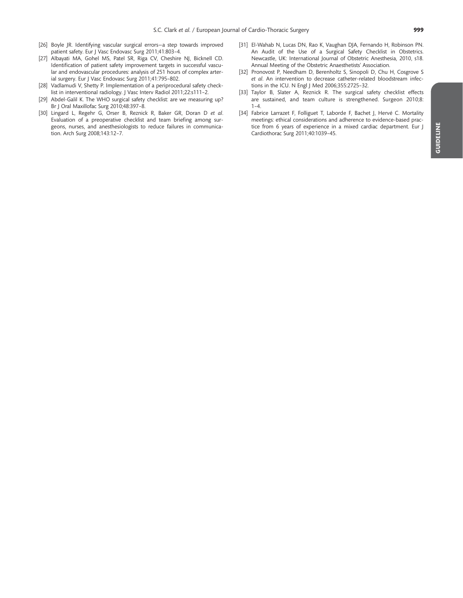- <span id="page-6-0"></span>[26] Boyle JR. Identifying vascular surgical errors—a step towards improved
- patient safety. Eur J Vasc Endovasc Surg 2011;41:803–4. [27] Albayati MA, Gohel MS, Patel SR, Riga CV, Cheshire NJ, Bicknell CD. Identification of patient safety improvement targets in successful vascular and endovascular procedures: analysis of 251 hours of complex arter-
- ial surgery. Eur J Vasc Endovasc Surg 2011;41:795–802. [28] Vadlamudi V, Shetty P. Implementation of a periprocedural safety checklist in interventional radiology. J Vasc Interv Radiol 2011;22:s111–2.
- [29] Abdel-Galil K. The WHO surgical safety checklist: are we measuring up? Br J Oral Maxillofac Surg 2010;48:397–8.
- [30] Lingard L, Regehr G, Orser B, Reznick R, Baker GR, Doran D et al. Evaluation of a preoperative checklist and team briefing among surgeons, nurses, and anesthesiologists to reduce failures in communication. Arch Surg 2008;143:12–7.
- [31] El-Wahab N, Lucas DN, Rao K, Vaughan DJA, Fernando H, Robinson PN. An Audit of the Use of a Surgical Safety Checklist in Obstetrics. Newcastle, UK: International Journal of Obstetric Anesthesia, 2010, s18. Annual Meeting of the Obstetric Anaesthetists' Association.
- [32] Pronovost P, Needham D, Berenholtz S, Sinopoli D, Chu H, Cosgrove S et al. An intervention to decrease catheter-related bloodstream infections in the ICU. N Engl J Med 2006;355:2725–32.
- [33] Taylor B, Slater A, Reznick R. The surgical safety checklist effects are sustained, and team culture is strengthened. Surgeon 2010;8:  $1 - 4$
- [34] Fabrice Larrazet F, Folliguet T, Laborde F, Bachet J, Hervé C. Mortality meetings: ethical considerations and adherence to evidence-based practice from 6 years of experience in a mixed cardiac department. Eur J Cardiothorac Surg 2011;40:1039–45.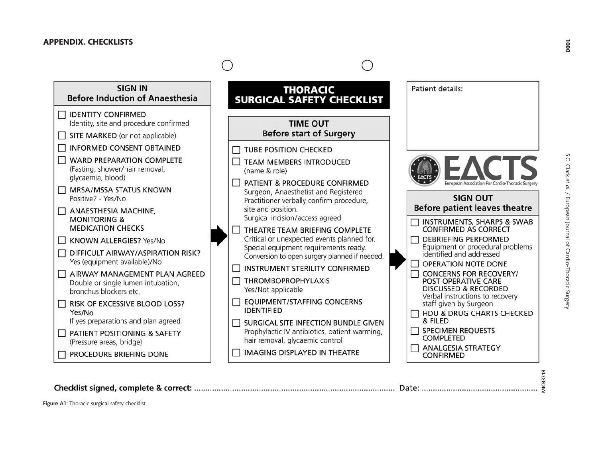# <span id="page-7-0"></span>APPENDIX. CHECKLISTS



Figure A1: Thoracic surgical safety checklist.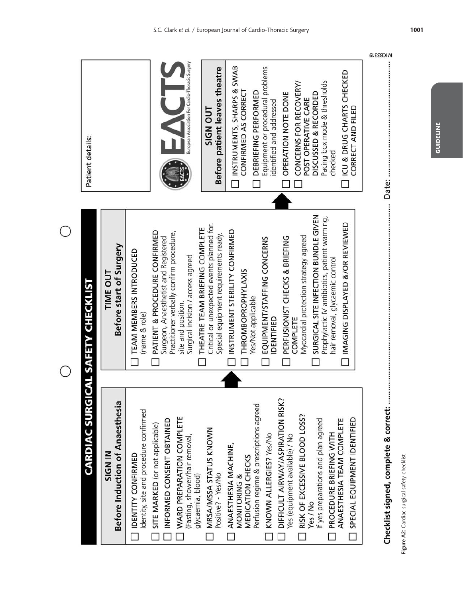<span id="page-8-0"></span>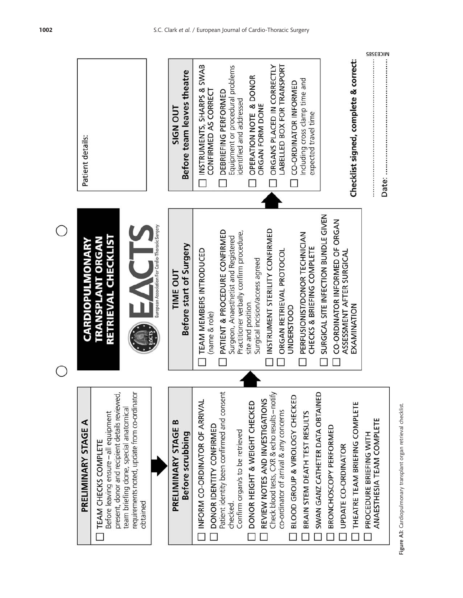<span id="page-9-0"></span>

Figure A3: Cardiopulmonary transplant organ retrieval checklist. Figure A3: Cardiopulmonary transplant organ retrieval checklist.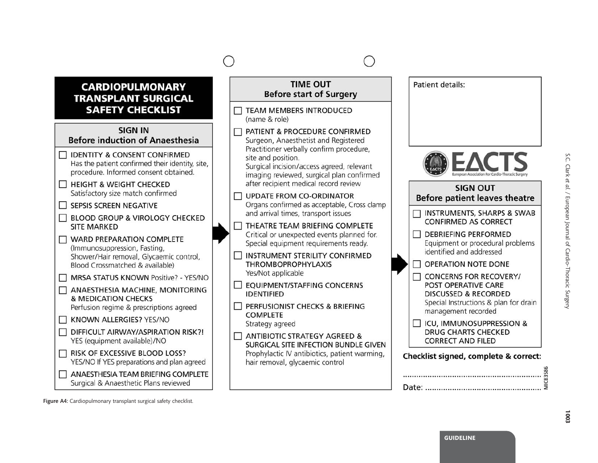# <span id="page-10-0"></span>**CARDIOPULMONARY TRANSPLANT SURGICAL SAFETY CHECKLIST**



Figure A4: Cardiopulmonary transplant surgical safety checklist.